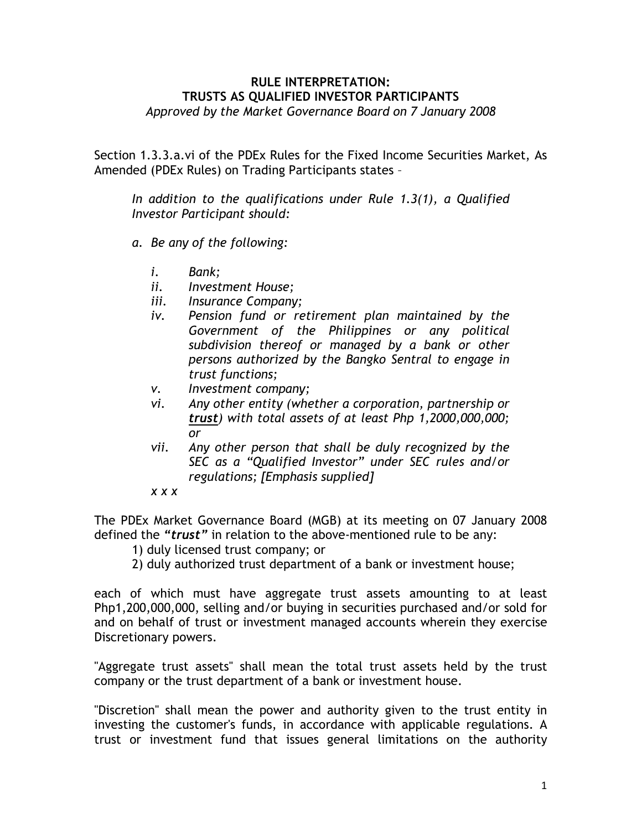## RULE INTERPRETATION: TRUSTS AS QUALIFIED INVESTOR PARTICIPANTS Approved by the Market Governance Board on 7 January 2008

Section 1.3.3.a.vi of the PDEx Rules for the Fixed Income Securities Market, As Amended (PDEx Rules) on Trading Participants states –

In addition to the qualifications under Rule 1.3(1), a Qualified Investor Participant should:

- a. Be any of the following:
	- i. Bank;
	- ii. Investment House;
	- iii. Insurance Company;
	- iv. Pension fund or retirement plan maintained by the Government of the Philippines or any political subdivision thereof or managed by a bank or other persons authorized by the Bangko Sentral to engage in trust functions;
	- v. Investment company;
	- vi. Any other entity (whether a corporation, partnership or trust) with total assets of at least Php 1,2000,000,000; or
	- vii. Any other person that shall be duly recognized by the SEC as a "Qualified Investor" under SEC rules and/or regulations; [Emphasis supplied]
	- x x x

The PDEx Market Governance Board (MGB) at its meeting on 07 January 2008 defined the "*trust*" in relation to the above-mentioned rule to be any:

- 1) duly licensed trust company; or
- 2) duly authorized trust department of a bank or investment house;

each of which must have aggregate trust assets amounting to at least Php1,200,000,000, selling and/or buying in securities purchased and/or sold for and on behalf of trust or investment managed accounts wherein they exercise Discretionary powers.

"Aggregate trust assets" shall mean the total trust assets held by the trust company or the trust department of a bank or investment house.

"Discretion" shall mean the power and authority given to the trust entity in investing the customer's funds, in accordance with applicable regulations. A trust or investment fund that issues general limitations on the authority